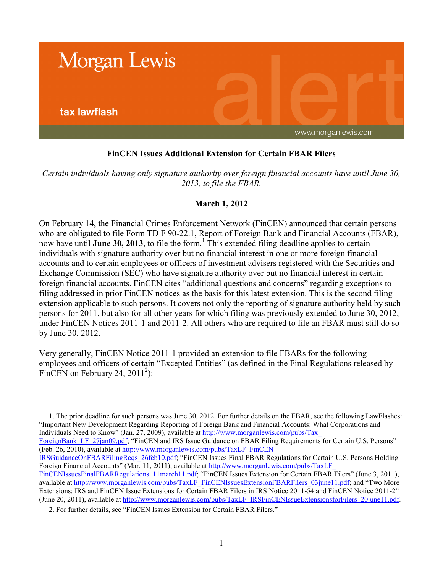

## **FinCEN Issues Additional Extension for Certain FBAR Filers**

*Certain individuals having only signature authority over foreign financial accounts have until June 30, 2013, to file the FBAR.*

## **March 1, 2012**

On February 14, the Financial Crimes Enforcement Network (FinCEN) announced that certain persons who are obligated to file Form TD F 90-22.1, Report of Foreign Bank and Financial Accounts (FBAR), now have until **June 30, 2013**, to file the form.<sup>1</sup> This extended filing deadline applies to certain individuals with signature authority over but no financial interest in one or more foreign financial accounts and to certain employees or officers of investment advisers registered with the Securities and Exchange Commission (SEC) who have signature authority over but no financial interest in certain foreign financial accounts. FinCEN cites "additional questions and concerns" regarding exceptions to filing addressed in prior FinCEN notices as the basis for this latest extension. This is the second filing extension applicable to such persons. It covers not only the reporting of signature authority held by such persons for 2011, but also for all other years for which filing was previously extended to June 30, 2012, under FinCEN Notices 2011-1 and 2011-2. All others who are required to file an FBAR must still do so by June 30, 2012.

Very generally, FinCEN Notice 2011-1 provided an extension to file FBARs for the following employees and officers of certain "Excepted Entities" (as defined in the Final Regulations released by FinCEN on February 24,  $2011^2$ ):

1. The prior deadline for such persons was June 30, 2012. For further details on the FBAR, see the following LawFlashes: "Important New Development Regarding Reporting of Foreign Bank and Financial Accounts: What Corporations and Individuals Need to Know" (Jan. 27, 2009), available at [http://www.morganlewis.com/pubs/Tax\\_](http://www.morganlewis.com/pubs/Tax_ForeignBank_LF_27jan09.pdf)

ForeignBank LF\_27jan09.pdf; "FinCEN and IRS Issue Guidance on FBAR Filing Requirements for Certain U.S. Persons" (Feb. 26, 2010), available at [http://www.morganlewis.com/pubs/TaxLF\\_FinCEN-](http://www.morganlewis.com/pubs/TaxLF_FinCEN-IRSGuidanceOnFBARFilingReqs_26feb10.pdf)

[IRSGuidanceOnFBARFilingReqs\\_26feb10.pdf;](http://www.morganlewis.com/pubs/TaxLF_FinCEN-IRSGuidanceOnFBARFilingReqs_26feb10.pdf) "FinCEN Issues Final FBAR Regulations for Certain U.S. Persons Holding Foreign Financial Accounts" (Mar. 11, 2011), available at [http://www.morganlewis.com/pubs/TaxLF\\_](http://www.morganlewis.com/pubs/TaxLF_FinCENIssuesFinalFBARRegulations_11march11.pdf) 

FinCENIssuesFinalFBARRegulations 11march11.pdf; "FinCEN Issues Extension for Certain FBAR Filers" (June 3, 2011), available at [http://www.morganlewis.com/pubs/TaxLF\\_FinCENIssuesExtensionFBARFilers\\_03june11.pdf;](http://www.morganlewis.com/pubs/TaxLF_FinCENIssuesExtensionFBARFilers_03june11.pdf) and "Two More Extensions: IRS and FinCEN Issue Extensions for Certain FBAR Filers in IRS Notice 2011-54 and FinCEN Notice 2011-2" (June 20, 2011), available at [http://www.morganlewis.com/pubs/TaxLF\\_IRSFinCENIssueExtensionsforFilers\\_20june11.pdf](http://www.morganlewis.com/pubs/TaxLF_IRSFinCENIssueExtensionsforFilers_20june11.pdf).

2. For further details, see "FinCEN Issues Extension for Certain FBAR Filers."

 $\overline{a}$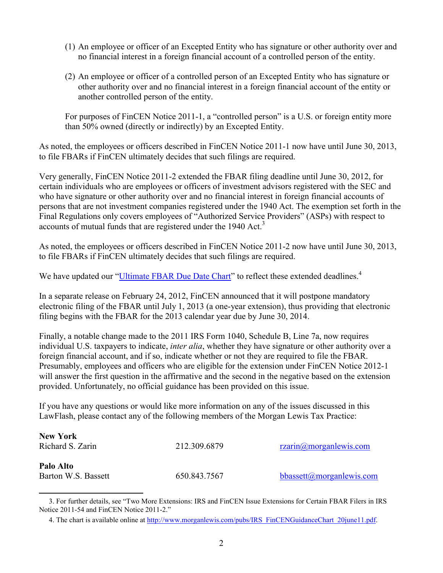- (1) An employee or officer of an Excepted Entity who has signature or other authority over and no financial interest in a foreign financial account of a controlled person of the entity.
- (2) An employee or officer of a controlled person of an Excepted Entity who has signature or other authority over and no financial interest in a foreign financial account of the entity or another controlled person of the entity.

For purposes of FinCEN Notice 2011-1, a "controlled person" is a U.S. or foreign entity more than 50% owned (directly or indirectly) by an Excepted Entity.

As noted, the employees or officers described in FinCEN Notice 2011-1 now have until June 30, 2013, to file FBARs if FinCEN ultimately decides that such filings are required.

Very generally, FinCEN Notice 2011-2 extended the FBAR filing deadline until June 30, 2012, for certain individuals who are employees or officers of investment advisors registered with the SEC and who have signature or other authority over and no financial interest in foreign financial accounts of persons that are not investment companies registered under the 1940 Act. The exemption set forth in the Final Regulations only covers employees of "Authorized Service Providers" (ASPs) with respect to accounts of mutual funds that are registered under the 1940 Act.<sup>3</sup>

As noted, the employees or officers described in FinCEN Notice 2011-2 now have until June 30, 2013, to file FBARs if FinCEN ultimately decides that such filings are required.

We have updated our ["Ultimate FBAR Due Date Chart](http://www.morganlewis.com/pubs/IRS_FinCENGuidanceChart_20june11.pdf)" to reflect these extended deadlines.<sup>4</sup>

In a separate release on February 24, 2012, FinCEN announced that it will postpone mandatory electronic filing of the FBAR until July 1, 2013 (a one-year extension), thus providing that electronic filing begins with the FBAR for the 2013 calendar year due by June 30, 2014.

Finally, a notable change made to the 2011 IRS Form 1040, Schedule B, Line 7a, now requires individual U.S. taxpayers to indicate, *inter alia*, whether they have signature or other authority over a foreign financial account, and if so, indicate whether or not they are required to file the FBAR. Presumably, employees and officers who are eligible for the extension under FinCEN Notice 2012-1 will answer the first question in the affirmative and the second in the negative based on the extension provided. Unfortunately, no official guidance has been provided on this issue.

If you have any questions or would like more information on any of the issues discussed in this LawFlash, please contact any of the following members of the Morgan Lewis Tax Practice:

| <b>New York</b>     |              |                                         |
|---------------------|--------------|-----------------------------------------|
| Richard S. Zarin    | 212.309.6879 | $r_{\text{z}}$ $\alpha$ morganiewis.com |
| Palo Alto           |              |                                         |
| Barton W.S. Bassett | 650.843.7567 | bbassett@morganlewis.com                |

 $\overline{a}$ 

<sup>3.</sup> For further details, see "Two More Extensions: IRS and FinCEN Issue Extensions for Certain FBAR Filers in IRS Notice 2011-54 and FinCEN Notice 2011-2."

<sup>4.</sup> The chart is available online at [http://www.morganlewis.com/pubs/IRS\\_FinCENGuidanceChart\\_20june11.pdf.](http://www.morganlewis.com/pubs/IRS_FinCENGuidanceChart_20june11.pdf)